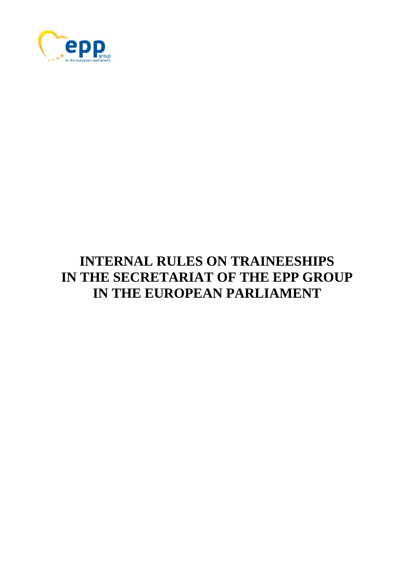

# **INTERNAL RULES ON TRAINEESHIPS IN THE SECRETARIAT OF THE EPP GROUP IN THE EUROPEAN PARLIAMENT**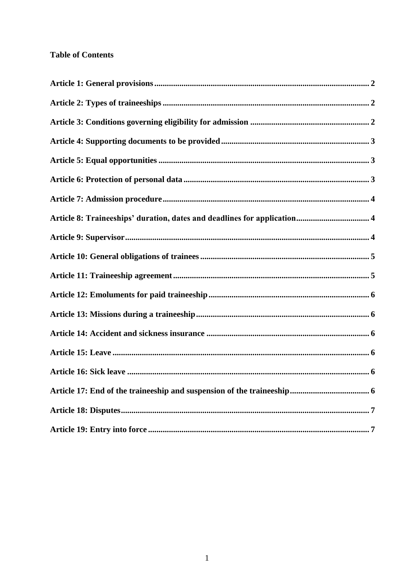# **Table of Contents**

<span id="page-1-0"></span>

| Article 8: Traineeships' duration, dates and deadlines for application 4 |  |
|--------------------------------------------------------------------------|--|
|                                                                          |  |
|                                                                          |  |
|                                                                          |  |
|                                                                          |  |
|                                                                          |  |
|                                                                          |  |
|                                                                          |  |
|                                                                          |  |
|                                                                          |  |
|                                                                          |  |
|                                                                          |  |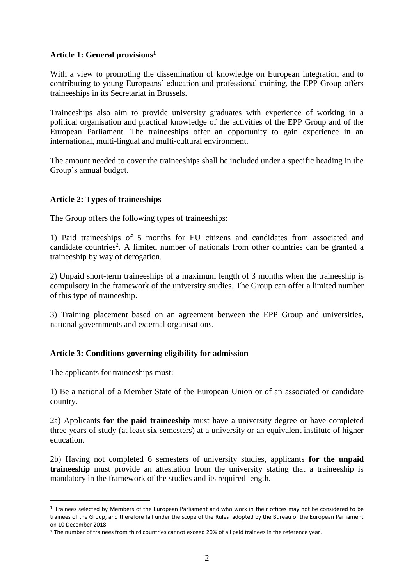#### **Article 1: General provisions<sup>1</sup>**

With a view to promoting the dissemination of knowledge on European integration and to contributing to young Europeans' education and professional training, the EPP Group offers traineeships in its Secretariat in Brussels.

Traineeships also aim to provide university graduates with experience of working in a political organisation and practical knowledge of the activities of the EPP Group and of the European Parliament. The traineeships offer an opportunity to gain experience in an international, multi-lingual and multi-cultural environment.

<span id="page-2-0"></span>The amount needed to cover the traineeships shall be included under a specific heading in the Group's annual budget.

# **Article 2: Types of traineeships**

The Group offers the following types of traineeships:

1) Paid traineeships of 5 months for EU citizens and candidates from associated and candidate countries<sup>2</sup>. A limited number of nationals from other countries can be granted a traineeship by way of derogation.

2) Unpaid short-term traineeships of a maximum length of 3 months when the traineeship is compulsory in the framework of the university studies. The Group can offer a limited number of this type of traineeship.

<span id="page-2-1"></span>3) Training placement based on an agreement between the EPP Group and universities, national governments and external organisations.

# **Article 3: Conditions governing eligibility for admission**

The applicants for traineeships must:

1

1) Be a national of a Member State of the European Union or of an associated or candidate country.

2a) Applicants **for the paid traineeship** must have a university degree or have completed three years of study (at least six semesters) at a university or an equivalent institute of higher education.

2b) Having not completed 6 semesters of university studies, applicants **for the unpaid traineeship** must provide an attestation from the university stating that a traineeship is mandatory in the framework of the studies and its required length.

<sup>&</sup>lt;sup>1</sup> Trainees selected by Members of the European Parliament and who work in their offices may not be considered to be trainees of the Group, and therefore fall under the scope of the Rules adopted by the Bureau of the European Parliament on 10 December 2018

<sup>&</sup>lt;sup>2</sup> The number of trainees from third countries cannot exceed 20% of all paid trainees in the reference year.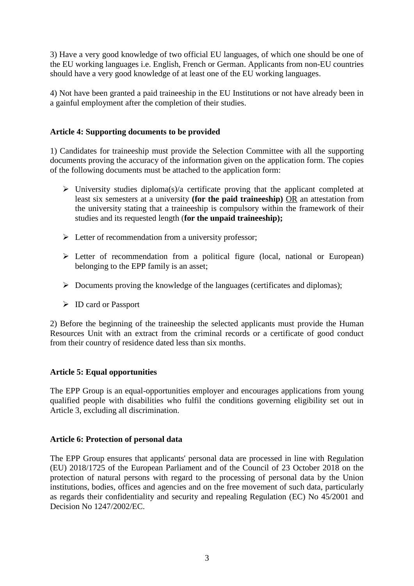3) Have a very good knowledge of two official EU languages, of which one should be one of the EU working languages i.e. English, French or German. Applicants from non-EU countries should have a very good knowledge of at least one of the EU working languages.

<span id="page-3-0"></span>4) Not have been granted a paid traineeship in the EU Institutions or not have already been in a gainful employment after the completion of their studies.

# **Article 4: Supporting documents to be provided**

1) Candidates for traineeship must provide the Selection Committee with all the supporting documents proving the accuracy of the information given on the application form. The copies of the following documents must be attached to the application form:

- $\triangleright$  University studies diploma(s)/a certificate proving that the applicant completed at least six semesters at a university **(for the paid traineeship)** OR an attestation from the university stating that a traineeship is compulsory within the framework of their studies and its requested length (**for the unpaid traineeship);**
- $\triangleright$  Letter of recommendation from a university professor;
- $\triangleright$  Letter of recommendation from a political figure (local, national or European) belonging to the EPP family is an asset;
- $\triangleright$  Documents proving the knowledge of the languages (certificates and diplomas);
- ID card or Passport

2) Before the beginning of the traineeship the selected applicants must provide the Human Resources Unit with an extract from the criminal records or a certificate of good conduct from their country of residence dated less than six months.

# **Article 5: Equal opportunities**

<span id="page-3-1"></span>The EPP Group is an equal-opportunities employer and encourages applications from young qualified people with disabilities who fulfil the conditions governing eligibility set out in Article 3, excluding all discrimination.

# **Article 6: Protection of personal data**

<span id="page-3-2"></span>The EPP Group ensures that applicants' personal data are processed in line with Regulation (EU) 2018/1725 of the European Parliament and of the Council of 23 October 2018 on the protection of natural persons with regard to the processing of personal data by the Union institutions, bodies, offices and agencies and on the free movement of such data, particularly as regards their confidentiality and security and repealing Regulation (EC) No 45/2001 and Decision No 1247/2002/EC.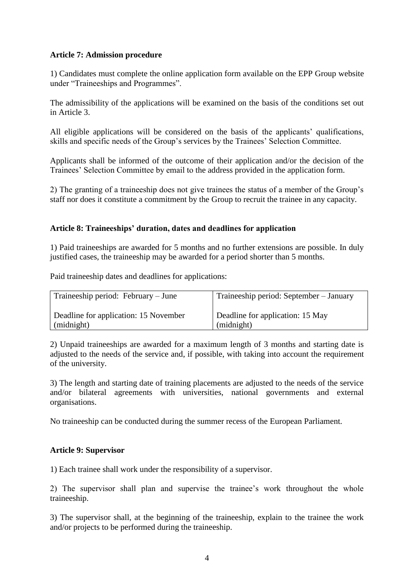#### **Article 7: Admission procedure**

1) Candidates must complete the online application form available on the EPP Group website under "Traineeships and Programmes".

The admissibility of the applications will be examined on the basis of the conditions set out in Article 3.

All eligible applications will be considered on the basis of the applicants' qualifications, skills and specific needs of the Group's services by the Trainees' Selection Committee.

Applicants shall be informed of the outcome of their application and/or the decision of the Trainees' Selection Committee by email to the address provided in the application form.

<span id="page-4-0"></span>2) The granting of a traineeship does not give trainees the status of a member of the Group's staff nor does it constitute a commitment by the Group to recruit the trainee in any capacity.

#### **Article 8: Traineeships' duration, dates and deadlines for application**

1) Paid traineeships are awarded for 5 months and no further extensions are possible. In duly justified cases, the traineeship may be awarded for a period shorter than 5 months.

Paid traineeship dates and deadlines for applications:

| Traineeship period: February – June   | Traineeship period: September – January |
|---------------------------------------|-----------------------------------------|
| Deadline for application: 15 November | Deadline for application: 15 May        |
| (midnight)                            | (midnight)                              |

2) Unpaid traineeships are awarded for a maximum length of 3 months and starting date is adjusted to the needs of the service and, if possible, with taking into account the requirement of the university.

3) The length and starting date of training placements are adjusted to the needs of the service and/or bilateral agreements with universities, national governments and external organisations.

No traineeship can be conducted during the summer recess of the European Parliament.

#### <span id="page-4-1"></span>**Article 9: Supervisor**

1) Each trainee shall work under the responsibility of a supervisor.

2) The supervisor shall plan and supervise the trainee's work throughout the whole traineeship.

3) The supervisor shall, at the beginning of the traineeship, explain to the trainee the work and/or projects to be performed during the traineeship.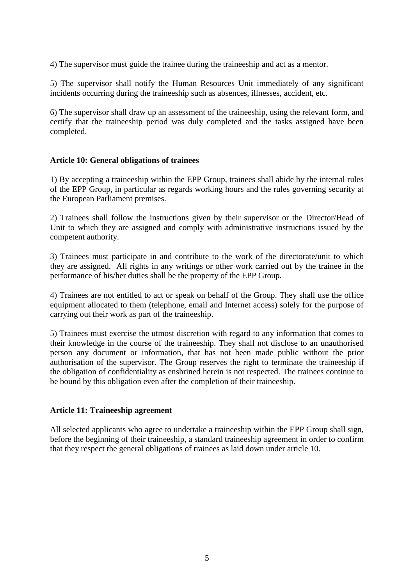4) The supervisor must guide the trainee during the traineeship and act as a mentor.

5) The supervisor shall notify the Human Resources Unit immediately of any significant incidents occurring during the traineeship such as absences, illnesses, accident, etc.

<span id="page-5-0"></span>6) The supervisor shall draw up an assessment of the traineeship, using the relevant form, and certify that the traineeship period was duly completed and the tasks assigned have been completed.

#### **Article 10: General obligations of trainees**

1) By accepting a traineeship within the EPP Group, trainees shall abide by the internal rules of the EPP Group, in particular as regards working hours and the rules governing security at the European Parliament premises.

2) Trainees shall follow the instructions given by their supervisor or the Director/Head of Unit to which they are assigned and comply with administrative instructions issued by the competent authority.

3) Trainees must participate in and contribute to the work of the directorate/unit to which they are assigned. All rights in any writings or other work carried out by the trainee in the performance of his/her duties shall be the property of the EPP Group.

4) Trainees are not entitled to act or speak on behalf of the Group. They shall use the office equipment allocated to them (telephone, email and Internet access) solely for the purpose of carrying out their work as part of the traineeship.

5) Trainees must exercise the utmost discretion with regard to any information that comes to their knowledge in the course of the traineeship. They shall not disclose to an unauthorised person any document or information, that has not been made public without the prior authorisation of the supervisor. The Group reserves the right to terminate the traineeship if the obligation of confidentiality as enshrined herein is not respected. The trainees continue to be bound by this obligation even after the completion of their traineeship.

#### <span id="page-5-1"></span>**Article 11: Traineeship agreement**

<span id="page-5-2"></span>All selected applicants who agree to undertake a traineeship within the EPP Group shall sign, before the beginning of their traineeship, a standard traineeship agreement in order to confirm that they respect the general obligations of trainees as laid down under article 10.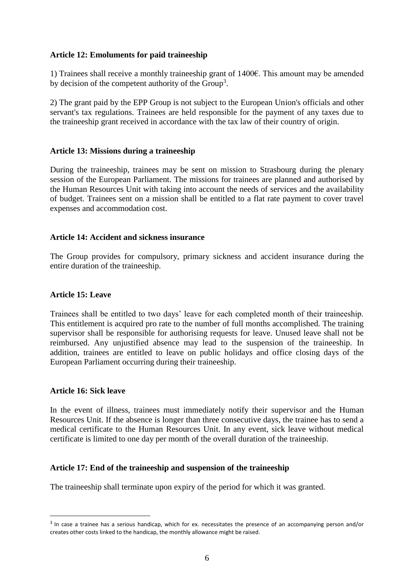#### **Article 12: Emoluments for paid traineeship**

1) Trainees shall receive a monthly traineeship grant of 1400€. This amount may be amended by decision of the competent authority of the Group<sup>3</sup>.

<span id="page-6-0"></span>2) The grant paid by the EPP Group is not subject to the European Union's officials and other servant's tax regulations. Trainees are held responsible for the payment of any taxes due to the traineeship grant received in accordance with the tax law of their country of origin.

# **Article 13: Missions during a traineeship**

During the traineeship, trainees may be sent on mission to Strasbourg during the plenary session of the European Parliament. The missions for trainees are planned and authorised by the Human Resources Unit with taking into account the needs of services and the availability of budget. Trainees sent on a mission shall be entitled to a flat rate payment to cover travel expenses and accommodation cost.

#### <span id="page-6-1"></span>**Article 14: Accident and sickness insurance**

<span id="page-6-2"></span>The Group provides for compulsory, primary sickness and accident insurance during the entire duration of the traineeship.

# **Article 15: Leave**

Trainees shall be entitled to two days' leave for each completed month of their traineeship. This entitlement is acquired pro rate to the number of full months accomplished. The training supervisor shall be responsible for authorising requests for leave. Unused leave shall not be reimbursed. Any unjustified absence may lead to the suspension of the traineeship. In addition, trainees are entitled to leave on public holidays and office closing days of the European Parliament occurring during their traineeship.

#### <span id="page-6-3"></span>**Article 16: Sick leave**

<u>.</u>

In the event of illness, trainees must immediately notify their supervisor and the Human Resources Unit. If the absence is longer than three consecutive days, the trainee has to send a medical certificate to the Human Resources Unit. In any event, sick leave without medical certificate is limited to one day per month of the overall duration of the traineeship.

#### <span id="page-6-4"></span>**Article 17: End of the traineeship and suspension of the traineeship**

The traineeship shall terminate upon expiry of the period for which it was granted.

<sup>&</sup>lt;sup>3</sup> In case a trainee has a serious handicap, which for ex. necessitates the presence of an accompanying person and/or creates other costs linked to the handicap, the monthly allowance might be raised.